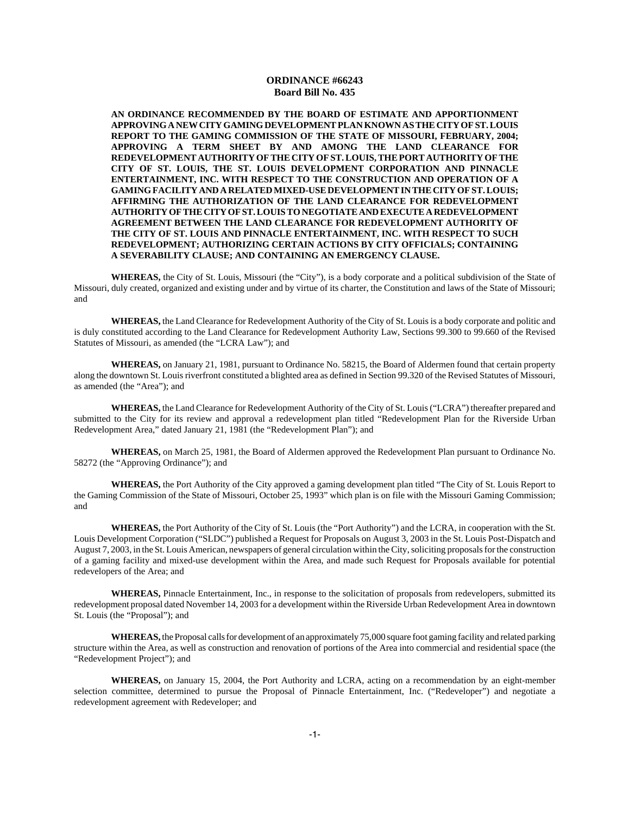**AN ORDINANCE RECOMMENDED BY THE BOARD OF ESTIMATE AND APPORTIONMENT APPROVING A NEW CITY GAMING DEVELOPMENT PLAN KNOWN AS THE CITY OF ST. LOUIS REPORT TO THE GAMING COMMISSION OF THE STATE OF MISSOURI, FEBRUARY, 2004; APPROVING A TERM SHEET BY AND AMONG THE LAND CLEARANCE FOR REDEVELOPMENT AUTHORITY OF THE CITY OF ST. LOUIS, THE PORT AUTHORITY OF THE CITY OF ST. LOUIS, THE ST. LOUIS DEVELOPMENT CORPORATION AND PINNACLE ENTERTAINMENT, INC. WITH RESPECT TO THE CONSTRUCTION AND OPERATION OF A GAMING FACILITY AND A RELATED MIXED-USE DEVELOPMENT IN THE CITY OF ST. LOUIS; AFFIRMING THE AUTHORIZATION OF THE LAND CLEARANCE FOR REDEVELOPMENT AUTHORITY OF THE CITY OF ST. LOUIS TO NEGOTIATE AND EXECUTE A REDEVELOPMENT AGREEMENT BETWEEN THE LAND CLEARANCE FOR REDEVELOPMENT AUTHORITY OF THE CITY OF ST. LOUIS AND PINNACLE ENTERTAINMENT, INC. WITH RESPECT TO SUCH REDEVELOPMENT; AUTHORIZING CERTAIN ACTIONS BY CITY OFFICIALS; CONTAINING A SEVERABILITY CLAUSE; AND CONTAINING AN EMERGENCY CLAUSE.**

**WHEREAS,** the City of St. Louis, Missouri (the "City"), is a body corporate and a political subdivision of the State of Missouri, duly created, organized and existing under and by virtue of its charter, the Constitution and laws of the State of Missouri; and

**WHEREAS,** the Land Clearance for Redevelopment Authority of the City of St. Louis is a body corporate and politic and is duly constituted according to the Land Clearance for Redevelopment Authority Law, Sections 99.300 to 99.660 of the Revised Statutes of Missouri, as amended (the "LCRA Law"); and

**WHEREAS,** on January 21, 1981, pursuant to Ordinance No. 58215, the Board of Aldermen found that certain property along the downtown St. Louis riverfront constituted a blighted area as defined in Section 99.320 of the Revised Statutes of Missouri, as amended (the "Area"); and

**WHEREAS,** the Land Clearance for Redevelopment Authority of the City of St. Louis ("LCRA") thereafter prepared and submitted to the City for its review and approval a redevelopment plan titled "Redevelopment Plan for the Riverside Urban Redevelopment Area," dated January 21, 1981 (the "Redevelopment Plan"); and

**WHEREAS,** on March 25, 1981, the Board of Aldermen approved the Redevelopment Plan pursuant to Ordinance No. 58272 (the "Approving Ordinance"); and

**WHEREAS,** the Port Authority of the City approved a gaming development plan titled "The City of St. Louis Report to the Gaming Commission of the State of Missouri, October 25, 1993" which plan is on file with the Missouri Gaming Commission; and

**WHEREAS,** the Port Authority of the City of St. Louis (the "Port Authority") and the LCRA, in cooperation with the St. Louis Development Corporation ("SLDC") published a Request for Proposals on August 3, 2003 in the St. Louis Post-Dispatch and August 7, 2003, in the St. Louis American, newspapers of general circulation within the City, soliciting proposals for the construction of a gaming facility and mixed-use development within the Area, and made such Request for Proposals available for potential redevelopers of the Area; and

**WHEREAS,** Pinnacle Entertainment, Inc., in response to the solicitation of proposals from redevelopers, submitted its redevelopment proposal dated November 14, 2003 for a development within the Riverside Urban Redevelopment Area in downtown St. Louis (the "Proposal"); and

**WHEREAS,** the Proposal calls for development of an approximately 75,000 square foot gaming facility and related parking structure within the Area, as well as construction and renovation of portions of the Area into commercial and residential space (the "Redevelopment Project"); and

**WHEREAS,** on January 15, 2004, the Port Authority and LCRA, acting on a recommendation by an eight-member selection committee, determined to pursue the Proposal of Pinnacle Entertainment, Inc. ("Redeveloper") and negotiate a redevelopment agreement with Redeveloper; and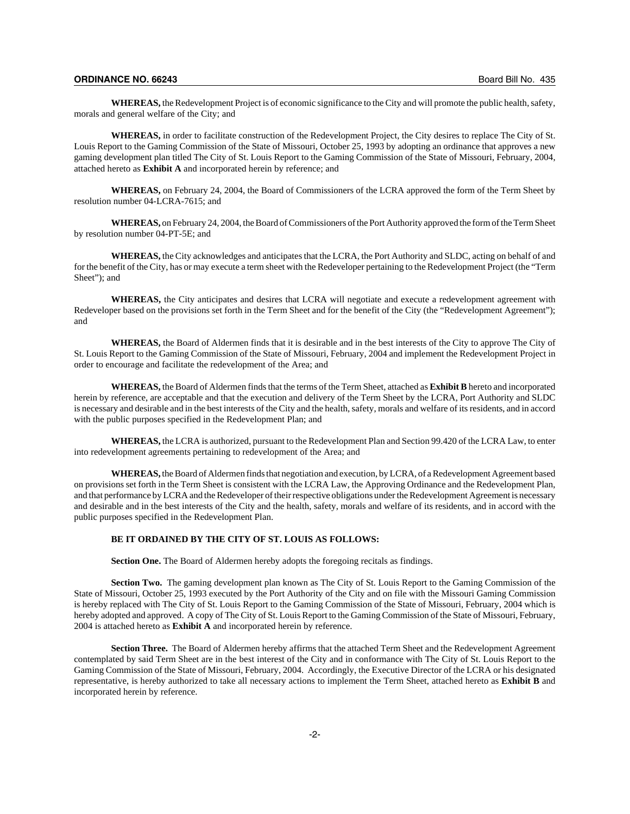**WHEREAS,** the Redevelopment Project is of economic significance to the City and will promote the public health, safety, morals and general welfare of the City; and

**WHEREAS,** in order to facilitate construction of the Redevelopment Project, the City desires to replace The City of St. Louis Report to the Gaming Commission of the State of Missouri, October 25, 1993 by adopting an ordinance that approves a new gaming development plan titled The City of St. Louis Report to the Gaming Commission of the State of Missouri, February, 2004, attached hereto as **Exhibit A** and incorporated herein by reference; and

**WHEREAS,** on February 24, 2004, the Board of Commissioners of the LCRA approved the form of the Term Sheet by resolution number 04-LCRA-7615; and

**WHEREAS,** on February 24, 2004, the Board of Commissioners of the Port Authority approved the form of the Term Sheet by resolution number 04-PT-5E; and

**WHEREAS,** the City acknowledges and anticipates that the LCRA, the Port Authority and SLDC, acting on behalf of and for the benefit of the City, has or may execute a term sheet with the Redeveloper pertaining to the Redevelopment Project (the "Term Sheet"); and

**WHEREAS,** the City anticipates and desires that LCRA will negotiate and execute a redevelopment agreement with Redeveloper based on the provisions set forth in the Term Sheet and for the benefit of the City (the "Redevelopment Agreement"); and

**WHEREAS,** the Board of Aldermen finds that it is desirable and in the best interests of the City to approve The City of St. Louis Report to the Gaming Commission of the State of Missouri, February, 2004 and implement the Redevelopment Project in order to encourage and facilitate the redevelopment of the Area; and

**WHEREAS,** the Board of Aldermen finds that the terms of the Term Sheet, attached as **Exhibit B** hereto and incorporated herein by reference, are acceptable and that the execution and delivery of the Term Sheet by the LCRA, Port Authority and SLDC is necessary and desirable and in the best interests of the City and the health, safety, morals and welfare of its residents, and in accord with the public purposes specified in the Redevelopment Plan; and

**WHEREAS,** the LCRA is authorized, pursuant to the Redevelopment Plan and Section 99.420 of the LCRA Law, to enter into redevelopment agreements pertaining to redevelopment of the Area; and

**WHEREAS,** the Board of Aldermen finds that negotiation and execution, by LCRA, of a Redevelopment Agreement based on provisions set forth in the Term Sheet is consistent with the LCRA Law, the Approving Ordinance and the Redevelopment Plan, and that performance by LCRA and the Redeveloper of their respective obligations under the Redevelopment Agreement is necessary and desirable and in the best interests of the City and the health, safety, morals and welfare of its residents, and in accord with the public purposes specified in the Redevelopment Plan.

## **BE IT ORDAINED BY THE CITY OF ST. LOUIS AS FOLLOWS:**

**Section One.** The Board of Aldermen hereby adopts the foregoing recitals as findings.

**Section Two.** The gaming development plan known as The City of St. Louis Report to the Gaming Commission of the State of Missouri, October 25, 1993 executed by the Port Authority of the City and on file with the Missouri Gaming Commission is hereby replaced with The City of St. Louis Report to the Gaming Commission of the State of Missouri, February, 2004 which is hereby adopted and approved. A copy of The City of St. Louis Report to the Gaming Commission of the State of Missouri, February, 2004 is attached hereto as **Exhibit A** and incorporated herein by reference.

**Section Three.** The Board of Aldermen hereby affirms that the attached Term Sheet and the Redevelopment Agreement contemplated by said Term Sheet are in the best interest of the City and in conformance with The City of St. Louis Report to the Gaming Commission of the State of Missouri, February, 2004. Accordingly, the Executive Director of the LCRA or his designated representative, is hereby authorized to take all necessary actions to implement the Term Sheet, attached hereto as **Exhibit B** and incorporated herein by reference.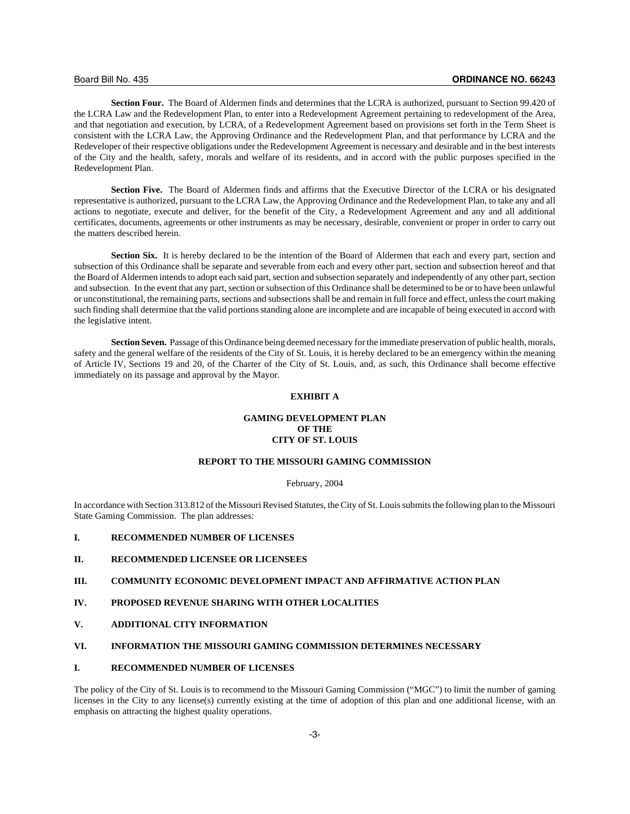**Section Four.** The Board of Aldermen finds and determines that the LCRA is authorized, pursuant to Section 99.420 of the LCRA Law and the Redevelopment Plan, to enter into a Redevelopment Agreement pertaining to redevelopment of the Area, and that negotiation and execution, by LCRA, of a Redevelopment Agreement based on provisions set forth in the Term Sheet is consistent with the LCRA Law, the Approving Ordinance and the Redevelopment Plan, and that performance by LCRA and the Redeveloper of their respective obligations under the Redevelopment Agreement is necessary and desirable and in the best interests of the City and the health, safety, morals and welfare of its residents, and in accord with the public purposes specified in the Redevelopment Plan.

**Section Five.** The Board of Aldermen finds and affirms that the Executive Director of the LCRA or his designated representative is authorized, pursuant to the LCRA Law, the Approving Ordinance and the Redevelopment Plan, to take any and all actions to negotiate, execute and deliver, for the benefit of the City, a Redevelopment Agreement and any and all additional certificates, documents, agreements or other instruments as may be necessary, desirable, convenient or proper in order to carry out the matters described herein.

**Section Six.** It is hereby declared to be the intention of the Board of Aldermen that each and every part, section and subsection of this Ordinance shall be separate and severable from each and every other part, section and subsection hereof and that the Board of Aldermen intends to adopt each said part, section and subsection separately and independently of any other part, section and subsection. In the event that any part, section or subsection of this Ordinance shall be determined to be or to have been unlawful or unconstitutional, the remaining parts, sections and subsections shall be and remain in full force and effect, unless the court making such finding shall determine that the valid portions standing alone are incomplete and are incapable of being executed in accord with the legislative intent.

**Section Seven.** Passage of this Ordinance being deemed necessary for the immediate preservation of public health, morals, safety and the general welfare of the residents of the City of St. Louis, it is hereby declared to be an emergency within the meaning of Article IV, Sections 19 and 20, of the Charter of the City of St. Louis, and, as such, this Ordinance shall become effective immediately on its passage and approval by the Mayor.

# **EXHIBIT A**

## **GAMING DEVELOPMENT PLAN OF THE CITY OF ST. LOUIS**

## **REPORT TO THE MISSOURI GAMING COMMISSION**

#### February, 2004

In accordance with Section 313.812 of the Missouri Revised Statutes, the City of St. Louis submits the following plan to the Missouri State Gaming Commission. The plan addresses:

#### **I. RECOMMENDED NUMBER OF LICENSES**

## **II. RECOMMENDED LICENSEE OR LICENSEES**

# **III. COMMUNITY ECONOMIC DEVELOPMENT IMPACT AND AFFIRMATIVE ACTION PLAN**

## **IV. PROPOSED REVENUE SHARING WITH OTHER LOCALITIES**

**V. ADDITIONAL CITY INFORMATION**

## **VI. INFORMATION THE MISSOURI GAMING COMMISSION DETERMINES NECESSARY**

### **I. RECOMMENDED NUMBER OF LICENSES**

The policy of the City of St. Louis is to recommend to the Missouri Gaming Commission ("MGC") to limit the number of gaming licenses in the City to any license(s) currently existing at the time of adoption of this plan and one additional license, with an emphasis on attracting the highest quality operations.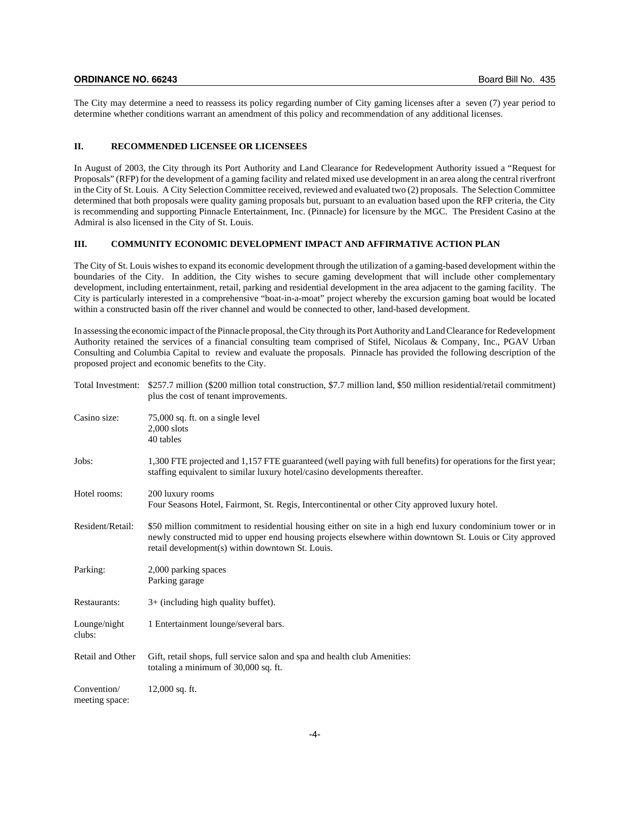The City may determine a need to reassess its policy regarding number of City gaming licenses after a seven (7) year period to determine whether conditions warrant an amendment of this policy and recommendation of any additional licenses.

### **II. RECOMMENDED LICENSEE OR LICENSEES**

In August of 2003, the City through its Port Authority and Land Clearance for Redevelopment Authority issued a "Request for Proposals" (RFP) for the development of a gaming facility and related mixed use development in an area along the central riverfront in the City of St. Louis. A City Selection Committee received, reviewed and evaluated two (2) proposals. The Selection Committee determined that both proposals were quality gaming proposals but, pursuant to an evaluation based upon the RFP criteria, the City is recommending and supporting Pinnacle Entertainment, Inc. (Pinnacle) for licensure by the MGC. The President Casino at the Admiral is also licensed in the City of St. Louis.

## **III. COMMUNITY ECONOMIC DEVELOPMENT IMPACT AND AFFIRMATIVE ACTION PLAN**

The City of St. Louis wishes to expand its economic development through the utilization of a gaming-based development within the boundaries of the City. In addition, the City wishes to secure gaming development that will include other complementary development, including entertainment, retail, parking and residential development in the area adjacent to the gaming facility. The City is particularly interested in a comprehensive "boat-in-a-moat" project whereby the excursion gaming boat would be located within a constructed basin off the river channel and would be connected to other, land-based development.

In assessing the economic impact of the Pinnacle proposal, the City through its Port Authority and Land Clearance for Redevelopment Authority retained the services of a financial consulting team comprised of Stifel, Nicolaus & Company, Inc., PGAV Urban Consulting and Columbia Capital to review and evaluate the proposals. Pinnacle has provided the following description of the proposed project and economic benefits to the City.

| Total Investment:             | \$257.7 million (\$200 million total construction, \$7.7 million land, \$50 million residential/retail commitment)<br>plus the cost of tenant improvements.                                                                                                                |
|-------------------------------|----------------------------------------------------------------------------------------------------------------------------------------------------------------------------------------------------------------------------------------------------------------------------|
| Casino size:                  | 75,000 sq. ft. on a single level<br>$2,000$ slots<br>40 tables                                                                                                                                                                                                             |
| Jobs:                         | 1,300 FTE projected and 1,157 FTE guaranteed (well paying with full benefits) for operations for the first year;<br>staffing equivalent to similar luxury hotel/casino developments thereafter.                                                                            |
| Hotel rooms:                  | 200 luxury rooms<br>Four Seasons Hotel, Fairmont, St. Regis, Intercontinental or other City approved luxury hotel.                                                                                                                                                         |
| Resident/Retail:              | \$50 million commitment to residential housing either on site in a high end luxury condominium tower or in<br>newly constructed mid to upper end housing projects elsewhere within downtown St. Louis or City approved<br>retail development(s) within downtown St. Louis. |
| Parking:                      | 2,000 parking spaces<br>Parking garage                                                                                                                                                                                                                                     |
| Restaurants:                  | $3+$ (including high quality buffet).                                                                                                                                                                                                                                      |
| Lounge/night<br>clubs:        | 1 Entertainment lounge/several bars.                                                                                                                                                                                                                                       |
| Retail and Other              | Gift, retail shops, full service salon and spa and health club Amenities:<br>totaling a minimum of 30,000 sq. ft.                                                                                                                                                          |
| Convention/<br>meeting space: | $12,000$ sq. ft.                                                                                                                                                                                                                                                           |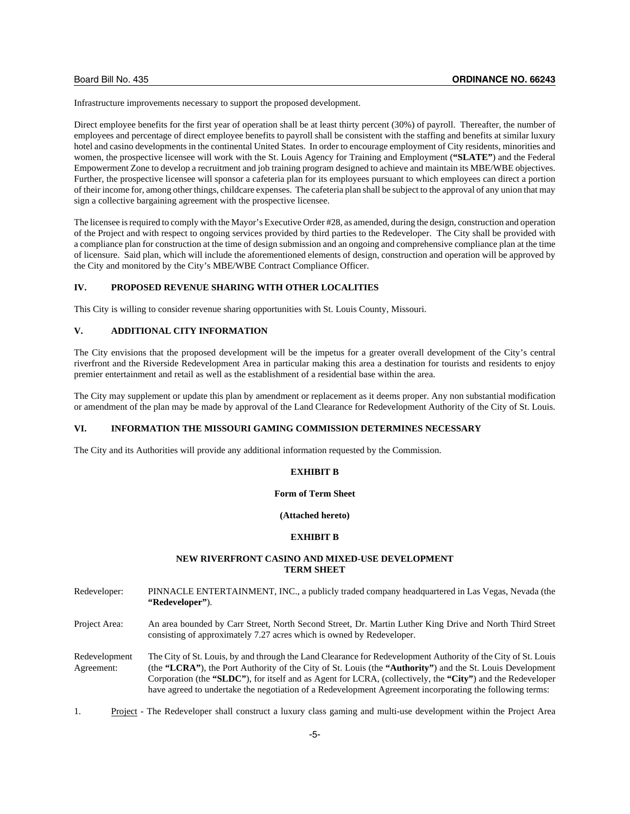Infrastructure improvements necessary to support the proposed development.

Direct employee benefits for the first year of operation shall be at least thirty percent (30%) of payroll. Thereafter, the number of employees and percentage of direct employee benefits to payroll shall be consistent with the staffing and benefits at similar luxury hotel and casino developments in the continental United States. In order to encourage employment of City residents, minorities and women, the prospective licensee will work with the St. Louis Agency for Training and Employment (**"SLATE"**) and the Federal Empowerment Zone to develop a recruitment and job training program designed to achieve and maintain its MBE/WBE objectives. Further, the prospective licensee will sponsor a cafeteria plan for its employees pursuant to which employees can direct a portion of their income for, among other things, childcare expenses. The cafeteria plan shall be subject to the approval of any union that may sign a collective bargaining agreement with the prospective licensee.

The licensee is required to comply with the Mayor's Executive Order #28, as amended, during the design, construction and operation of the Project and with respect to ongoing services provided by third parties to the Redeveloper. The City shall be provided with a compliance plan for construction at the time of design submission and an ongoing and comprehensive compliance plan at the time of licensure. Said plan, which will include the aforementioned elements of design, construction and operation will be approved by the City and monitored by the City's MBE/WBE Contract Compliance Officer.

## **IV. PROPOSED REVENUE SHARING WITH OTHER LOCALITIES**

This City is willing to consider revenue sharing opportunities with St. Louis County, Missouri.

## **V. ADDITIONAL CITY INFORMATION**

The City envisions that the proposed development will be the impetus for a greater overall development of the City's central riverfront and the Riverside Redevelopment Area in particular making this area a destination for tourists and residents to enjoy premier entertainment and retail as well as the establishment of a residential base within the area.

The City may supplement or update this plan by amendment or replacement as it deems proper. Any non substantial modification or amendment of the plan may be made by approval of the Land Clearance for Redevelopment Authority of the City of St. Louis.

#### **VI. INFORMATION THE MISSOURI GAMING COMMISSION DETERMINES NECESSARY**

The City and its Authorities will provide any additional information requested by the Commission.

## **EXHIBIT B**

## **Form of Term Sheet**

**(Attached hereto)**

## **EXHIBIT B**

## **NEW RIVERFRONT CASINO AND MIXED-USE DEVELOPMENT TERM SHEET**

- Redeveloper: PINNACLE ENTERTAINMENT, INC., a publicly traded company headquartered in Las Vegas, Nevada (the **"Redeveloper"**).
- Project Area: An area bounded by Carr Street, North Second Street, Dr. Martin Luther King Drive and North Third Street consisting of approximately 7.27 acres which is owned by Redeveloper.

Redevelopment The City of St. Louis, by and through the Land Clearance for Redevelopment Authority of the City of St. Louis Agreement: (the **"LCRA"**), the Port Authority of the City of St. Louis (the **"Authority"**) and the St. Louis Development Corporation (the **"SLDC"**), for itself and as Agent for LCRA, (collectively, the **"City"**) and the Redeveloper have agreed to undertake the negotiation of a Redevelopment Agreement incorporating the following terms:

1. Project - The Redeveloper shall construct a luxury class gaming and multi-use development within the Project Area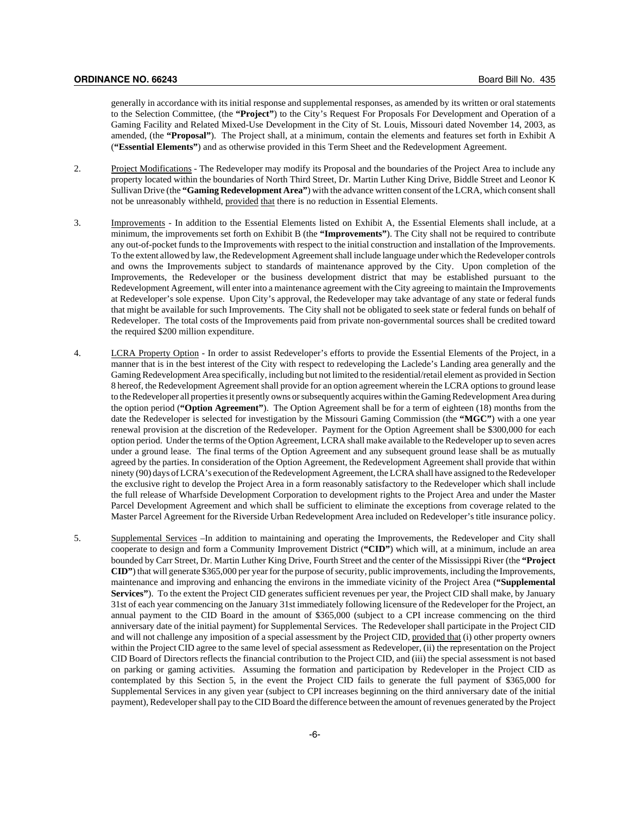generally in accordance with its initial response and supplemental responses, as amended by its written or oral statements to the Selection Committee, (the **"Project"**) to the City's Request For Proposals For Development and Operation of a Gaming Facility and Related Mixed-Use Development in the City of St. Louis, Missouri dated November 14, 2003, as amended, (the **"Proposal"**). The Project shall, at a minimum, contain the elements and features set forth in Exhibit A (**"Essential Elements"**) and as otherwise provided in this Term Sheet and the Redevelopment Agreement.

- 2. Project Modifications The Redeveloper may modify its Proposal and the boundaries of the Project Area to include any property located within the boundaries of North Third Street, Dr. Martin Luther King Drive, Biddle Street and Leonor K Sullivan Drive (the **"Gaming Redevelopment Area"**) with the advance written consent of the LCRA, which consent shall not be unreasonably withheld, provided that there is no reduction in Essential Elements.
- 3. Improvements In addition to the Essential Elements listed on Exhibit A, the Essential Elements shall include, at a minimum, the improvements set forth on Exhibit B (the **"Improvements"**). The City shall not be required to contribute any out-of-pocket funds to the Improvements with respect to the initial construction and installation of the Improvements. To the extent allowed by law, the Redevelopment Agreement shall include language under which the Redeveloper controls and owns the Improvements subject to standards of maintenance approved by the City. Upon completion of the Improvements, the Redeveloper or the business development district that may be established pursuant to the Redevelopment Agreement, will enter into a maintenance agreement with the City agreeing to maintain the Improvements at Redeveloper's sole expense. Upon City's approval, the Redeveloper may take advantage of any state or federal funds that might be available for such Improvements. The City shall not be obligated to seek state or federal funds on behalf of Redeveloper. The total costs of the Improvements paid from private non-governmental sources shall be credited toward the required \$200 million expenditure.
- 4. LCRA Property Option In order to assist Redeveloper's efforts to provide the Essential Elements of the Project, in a manner that is in the best interest of the City with respect to redeveloping the Laclede's Landing area generally and the Gaming Redevelopment Area specifically, including but not limited to the residential/retail element as provided in Section 8 hereof, the Redevelopment Agreement shall provide for an option agreement wherein the LCRA options to ground lease to the Redeveloper all properties it presently owns or subsequently acquires within the Gaming Redevelopment Area during the option period (**"Option Agreement"**). The Option Agreement shall be for a term of eighteen (18) months from the date the Redeveloper is selected for investigation by the Missouri Gaming Commission (the **"MGC"**) with a one year renewal provision at the discretion of the Redeveloper. Payment for the Option Agreement shall be \$300,000 for each option period. Under the terms of the Option Agreement, LCRA shall make available to the Redeveloper up to seven acres under a ground lease. The final terms of the Option Agreement and any subsequent ground lease shall be as mutually agreed by the parties. In consideration of the Option Agreement, the Redevelopment Agreement shall provide that within ninety (90) days of LCRA's execution of the Redevelopment Agreement, the LCRA shall have assigned to the Redeveloper the exclusive right to develop the Project Area in a form reasonably satisfactory to the Redeveloper which shall include the full release of Wharfside Development Corporation to development rights to the Project Area and under the Master Parcel Development Agreement and which shall be sufficient to eliminate the exceptions from coverage related to the Master Parcel Agreement for the Riverside Urban Redevelopment Area included on Redeveloper's title insurance policy.
- 5. Supplemental Services –In addition to maintaining and operating the Improvements, the Redeveloper and City shall cooperate to design and form a Community Improvement District (**"CID"**) which will, at a minimum, include an area bounded by Carr Street, Dr. Martin Luther King Drive, Fourth Street and the center of the Mississippi River (the **"Project CID"**) that will generate \$365,000 per year for the purpose of security, public improvements, including the Improvements, maintenance and improving and enhancing the environs in the immediate vicinity of the Project Area (**"Supplemental** Services"). To the extent the Project CID generates sufficient revenues per year, the Project CID shall make, by January 31st of each year commencing on the January 31st immediately following licensure of the Redeveloper for the Project, an annual payment to the CID Board in the amount of \$365,000 (subject to a CPI increase commencing on the third anniversary date of the initial payment) for Supplemental Services. The Redeveloper shall participate in the Project CID and will not challenge any imposition of a special assessment by the Project CID, provided that (i) other property owners within the Project CID agree to the same level of special assessment as Redeveloper, (ii) the representation on the Project CID Board of Directors reflects the financial contribution to the Project CID, and (iii) the special assessment is not based on parking or gaming activities. Assuming the formation and participation by Redeveloper in the Project CID as contemplated by this Section 5, in the event the Project CID fails to generate the full payment of \$365,000 for Supplemental Services in any given year (subject to CPI increases beginning on the third anniversary date of the initial payment), Redeveloper shall pay to the CID Board the difference between the amount of revenues generated by the Project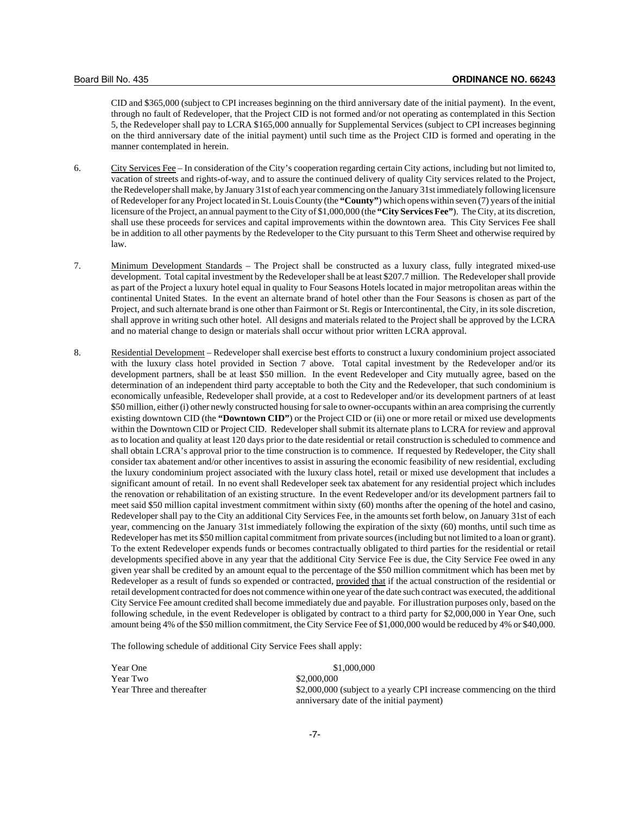CID and \$365,000 (subject to CPI increases beginning on the third anniversary date of the initial payment). In the event, through no fault of Redeveloper, that the Project CID is not formed and/or not operating as contemplated in this Section 5, the Redeveloper shall pay to LCRA \$165,000 annually for Supplemental Services (subject to CPI increases beginning on the third anniversary date of the initial payment) until such time as the Project CID is formed and operating in the manner contemplated in herein.

- 6. City Services Fee In consideration of the City's cooperation regarding certain City actions, including but not limited to, vacation of streets and rights-of-way, and to assure the continued delivery of quality City services related to the Project, the Redeveloper shall make, by January 31st of each year commencing on the January 31st immediately following licensure of Redeveloper for any Project located in St. Louis County (the **"County"**) which opens within seven (7) years of the initial licensure of the Project, an annual payment to the City of \$1,000,000 (the **"City Services Fee"**). The City, at its discretion, shall use these proceeds for services and capital improvements within the downtown area. This City Services Fee shall be in addition to all other payments by the Redeveloper to the City pursuant to this Term Sheet and otherwise required by law.
- 7. Minimum Development Standards The Project shall be constructed as a luxury class, fully integrated mixed-use development. Total capital investment by the Redeveloper shall be at least \$207.7 million. The Redeveloper shall provide as part of the Project a luxury hotel equal in quality to Four Seasons Hotels located in major metropolitan areas within the continental United States. In the event an alternate brand of hotel other than the Four Seasons is chosen as part of the Project, and such alternate brand is one other than Fairmont or St. Regis or Intercontinental, the City, in its sole discretion, shall approve in writing such other hotel. All designs and materials related to the Project shall be approved by the LCRA and no material change to design or materials shall occur without prior written LCRA approval.
- 8. Residential Development Redeveloper shall exercise best efforts to construct a luxury condominium project associated with the luxury class hotel provided in Section 7 above. Total capital investment by the Redeveloper and/or its development partners, shall be at least \$50 million. In the event Redeveloper and City mutually agree, based on the determination of an independent third party acceptable to both the City and the Redeveloper, that such condominium is economically unfeasible, Redeveloper shall provide, at a cost to Redeveloper and/or its development partners of at least \$50 million, either (i) other newly constructed housing for sale to owner-occupants within an area comprising the currently existing downtown CID (the **"Downtown CID"**) or the Project CID or (ii) one or more retail or mixed use developments within the Downtown CID or Project CID. Redeveloper shall submit its alternate plans to LCRA for review and approval as to location and quality at least 120 days prior to the date residential or retail construction is scheduled to commence and shall obtain LCRA's approval prior to the time construction is to commence. If requested by Redeveloper, the City shall consider tax abatement and/or other incentives to assist in assuring the economic feasibility of new residential, excluding the luxury condominium project associated with the luxury class hotel, retail or mixed use development that includes a significant amount of retail. In no event shall Redeveloper seek tax abatement for any residential project which includes the renovation or rehabilitation of an existing structure. In the event Redeveloper and/or its development partners fail to meet said \$50 million capital investment commitment within sixty (60) months after the opening of the hotel and casino, Redeveloper shall pay to the City an additional City Services Fee, in the amounts set forth below, on January 31st of each year, commencing on the January 31st immediately following the expiration of the sixty (60) months, until such time as Redeveloper has met its \$50 million capital commitment from private sources (including but not limited to a loan or grant). To the extent Redeveloper expends funds or becomes contractually obligated to third parties for the residential or retail developments specified above in any year that the additional City Service Fee is due, the City Service Fee owed in any given year shall be credited by an amount equal to the percentage of the \$50 million commitment which has been met by Redeveloper as a result of funds so expended or contracted, provided that if the actual construction of the residential or retail development contracted for does not commence within one year of the date such contract was executed, the additional City Service Fee amount credited shall become immediately due and payable. For illustration purposes only, based on the following schedule, in the event Redeveloper is obligated by contract to a third party for \$2,000,000 in Year One, such amount being 4% of the \$50 million commitment, the City Service Fee of \$1,000,000 would be reduced by 4% or \$40,000.

The following schedule of additional City Service Fees shall apply:

Year One \$1,000,000 Year Two  $\$2,000,000$ 

Year Three and thereafter \$2,000,000 (subject to a yearly CPI increase commencing on the third anniversary date of the initial payment)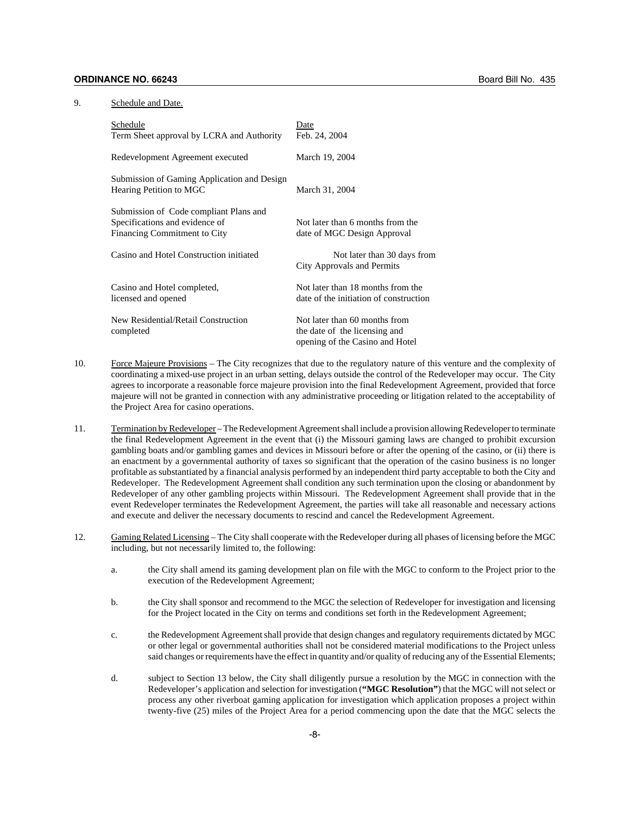### 9. Schedule and Date.

| Schedule                                                                                                 | Date                                                                                              |
|----------------------------------------------------------------------------------------------------------|---------------------------------------------------------------------------------------------------|
| Term Sheet approval by LCRA and Authority                                                                | Feb. 24, 2004                                                                                     |
| Redevelopment Agreement executed                                                                         | March 19, 2004                                                                                    |
| Submission of Gaming Application and Design<br>Hearing Petition to MGC                                   | March 31, 2004                                                                                    |
| Submission of Code compliant Plans and<br>Specifications and evidence of<br>Financing Commitment to City | Not later than 6 months from the<br>date of MGC Design Approval                                   |
| Casino and Hotel Construction initiated                                                                  | Not later than 30 days from<br>City Approvals and Permits                                         |
| Casino and Hotel completed,<br>licensed and opened                                                       | Not later than 18 months from the<br>date of the initiation of construction                       |
| New Residential/Retail Construction<br>completed                                                         | Not later than 60 months from<br>the date of the licensing and<br>opening of the Casino and Hotel |

- 10. Force Majeure Provisions The City recognizes that due to the regulatory nature of this venture and the complexity of coordinating a mixed-use project in an urban setting, delays outside the control of the Redeveloper may occur. The City agrees to incorporate a reasonable force majeure provision into the final Redevelopment Agreement, provided that force majeure will not be granted in connection with any administrative proceeding or litigation related to the acceptability of the Project Area for casino operations.
- 11. Termination by Redeveloper The Redevelopment Agreement shall include a provision allowing Redeveloper to terminate the final Redevelopment Agreement in the event that (i) the Missouri gaming laws are changed to prohibit excursion gambling boats and/or gambling games and devices in Missouri before or after the opening of the casino, or (ii) there is an enactment by a governmental authority of taxes so significant that the operation of the casino business is no longer profitable as substantiated by a financial analysis performed by an independent third party acceptable to both the City and Redeveloper. The Redevelopment Agreement shall condition any such termination upon the closing or abandonment by Redeveloper of any other gambling projects within Missouri. The Redevelopment Agreement shall provide that in the event Redeveloper terminates the Redevelopment Agreement, the parties will take all reasonable and necessary actions and execute and deliver the necessary documents to rescind and cancel the Redevelopment Agreement.
- 12. Gaming Related Licensing The City shall cooperate with the Redeveloper during all phases of licensing before the MGC including, but not necessarily limited to, the following:
	- a. the City shall amend its gaming development plan on file with the MGC to conform to the Project prior to the execution of the Redevelopment Agreement;
	- b. the City shall sponsor and recommend to the MGC the selection of Redeveloper for investigation and licensing for the Project located in the City on terms and conditions set forth in the Redevelopment Agreement;
	- c. the Redevelopment Agreement shall provide that design changes and regulatory requirements dictated by MGC or other legal or governmental authorities shall not be considered material modifications to the Project unless said changes or requirements have the effect in quantity and/or quality of reducing any of the Essential Elements;
	- d. subject to Section 13 below, the City shall diligently pursue a resolution by the MGC in connection with the Redeveloper's application and selection for investigation (**"MGC Resolution"**) that the MGC will not select or process any other riverboat gaming application for investigation which application proposes a project within twenty-five (25) miles of the Project Area for a period commencing upon the date that the MGC selects the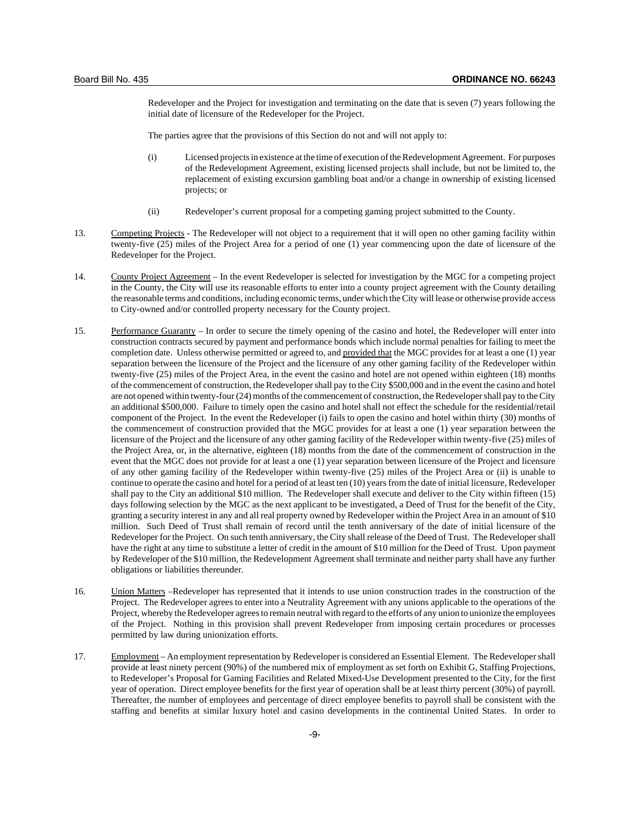Redeveloper and the Project for investigation and terminating on the date that is seven (7) years following the initial date of licensure of the Redeveloper for the Project.

The parties agree that the provisions of this Section do not and will not apply to:

- (i) Licensed projects in existence at the time of execution of the Redevelopment Agreement. For purposes of the Redevelopment Agreement, existing licensed projects shall include, but not be limited to, the replacement of existing excursion gambling boat and/or a change in ownership of existing licensed projects; or
- (ii) Redeveloper's current proposal for a competing gaming project submitted to the County.
- 13. Competing Projects The Redeveloper will not object to a requirement that it will open no other gaming facility within twenty-five (25) miles of the Project Area for a period of one (1) year commencing upon the date of licensure of the Redeveloper for the Project.
- 14. County Project Agreement In the event Redeveloper is selected for investigation by the MGC for a competing project in the County, the City will use its reasonable efforts to enter into a county project agreement with the County detailing the reasonable terms and conditions, including economic terms, under which the City will lease or otherwise provide access to City-owned and/or controlled property necessary for the County project.
- 15. Performance Guaranty In order to secure the timely opening of the casino and hotel, the Redeveloper will enter into construction contracts secured by payment and performance bonds which include normal penalties for failing to meet the completion date. Unless otherwise permitted or agreed to, and provided that the MGC provides for at least a one (1) year separation between the licensure of the Project and the licensure of any other gaming facility of the Redeveloper within twenty-five (25) miles of the Project Area, in the event the casino and hotel are not opened within eighteen (18) months of the commencement of construction, the Redeveloper shall pay to the City \$500,000 and in the event the casino and hotel are not opened within twenty-four (24) months of the commencement of construction, the Redeveloper shall pay to the City an additional \$500,000. Failure to timely open the casino and hotel shall not effect the schedule for the residential/retail component of the Project. In the event the Redeveloper (i) fails to open the casino and hotel within thirty (30) months of the commencement of construction provided that the MGC provides for at least a one (1) year separation between the licensure of the Project and the licensure of any other gaming facility of the Redeveloper within twenty-five (25) miles of the Project Area, or, in the alternative, eighteen (18) months from the date of the commencement of construction in the event that the MGC does not provide for at least a one (1) year separation between licensure of the Project and licensure of any other gaming facility of the Redeveloper within twenty-five (25) miles of the Project Area or (ii) is unable to continue to operate the casino and hotel for a period of at least ten (10) years from the date of initial licensure, Redeveloper shall pay to the City an additional \$10 million. The Redeveloper shall execute and deliver to the City within fifteen (15) days following selection by the MGC as the next applicant to be investigated, a Deed of Trust for the benefit of the City, granting a security interest in any and all real property owned by Redeveloper within the Project Area in an amount of \$10 million. Such Deed of Trust shall remain of record until the tenth anniversary of the date of initial licensure of the Redeveloper for the Project. On such tenth anniversary, the City shall release of the Deed of Trust. The Redeveloper shall have the right at any time to substitute a letter of credit in the amount of \$10 million for the Deed of Trust. Upon payment by Redeveloper of the \$10 million, the Redevelopment Agreement shall terminate and neither party shall have any further obligations or liabilities thereunder.
- 16. Union Matters –Redeveloper has represented that it intends to use union construction trades in the construction of the Project. The Redeveloper agrees to enter into a Neutrality Agreement with any unions applicable to the operations of the Project, whereby the Redeveloper agrees to remain neutral with regard to the efforts of any union to unionize the employees of the Project. Nothing in this provision shall prevent Redeveloper from imposing certain procedures or processes permitted by law during unionization efforts.
- 17. Employment An employment representation by Redeveloper is considered an Essential Element. The Redeveloper shall provide at least ninety percent (90%) of the numbered mix of employment as set forth on Exhibit G, Staffing Projections, to Redeveloper's Proposal for Gaming Facilities and Related Mixed-Use Development presented to the City, for the first year of operation. Direct employee benefits for the first year of operation shall be at least thirty percent (30%) of payroll. Thereafter, the number of employees and percentage of direct employee benefits to payroll shall be consistent with the staffing and benefits at similar luxury hotel and casino developments in the continental United States. In order to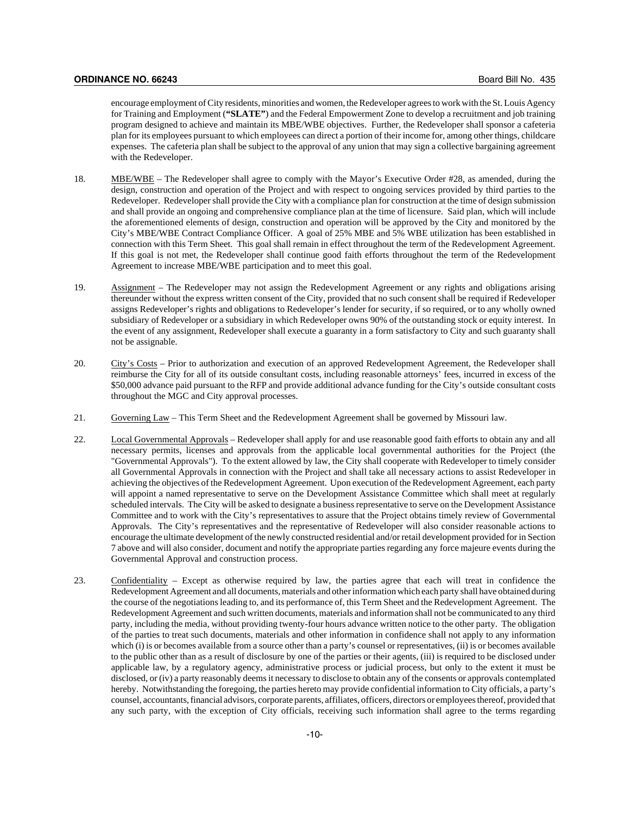encourage employment of City residents, minorities and women, the Redeveloper agrees to work with the St. Louis Agency for Training and Employment (**"SLATE"**) and the Federal Empowerment Zone to develop a recruitment and job training program designed to achieve and maintain its MBE/WBE objectives. Further, the Redeveloper shall sponsor a cafeteria plan for its employees pursuant to which employees can direct a portion of their income for, among other things, childcare expenses. The cafeteria plan shall be subject to the approval of any union that may sign a collective bargaining agreement with the Redeveloper.

- 18. MBE/WBE The Redeveloper shall agree to comply with the Mayor's Executive Order #28, as amended, during the design, construction and operation of the Project and with respect to ongoing services provided by third parties to the Redeveloper. Redeveloper shall provide the City with a compliance plan for construction at the time of design submission and shall provide an ongoing and comprehensive compliance plan at the time of licensure. Said plan, which will include the aforementioned elements of design, construction and operation will be approved by the City and monitored by the City's MBE/WBE Contract Compliance Officer. A goal of 25% MBE and 5% WBE utilization has been established in connection with this Term Sheet. This goal shall remain in effect throughout the term of the Redevelopment Agreement. If this goal is not met, the Redeveloper shall continue good faith efforts throughout the term of the Redevelopment Agreement to increase MBE/WBE participation and to meet this goal.
- 19. Assignment The Redeveloper may not assign the Redevelopment Agreement or any rights and obligations arising thereunder without the express written consent of the City, provided that no such consent shall be required if Redeveloper assigns Redeveloper's rights and obligations to Redeveloper's lender for security, if so required, or to any wholly owned subsidiary of Redeveloper or a subsidiary in which Redeveloper owns 90% of the outstanding stock or equity interest. In the event of any assignment, Redeveloper shall execute a guaranty in a form satisfactory to City and such guaranty shall not be assignable.
- 20. City's Costs Prior to authorization and execution of an approved Redevelopment Agreement, the Redeveloper shall reimburse the City for all of its outside consultant costs, including reasonable attorneys' fees, incurred in excess of the \$50,000 advance paid pursuant to the RFP and provide additional advance funding for the City's outside consultant costs throughout the MGC and City approval processes.
- 21. Governing Law This Term Sheet and the Redevelopment Agreement shall be governed by Missouri law.
- 22. Local Governmental Approvals Redeveloper shall apply for and use reasonable good faith efforts to obtain any and all necessary permits, licenses and approvals from the applicable local governmental authorities for the Project (the "Governmental Approvals"). To the extent allowed by law, the City shall cooperate with Redeveloper to timely consider all Governmental Approvals in connection with the Project and shall take all necessary actions to assist Redeveloper in achieving the objectives of the Redevelopment Agreement. Upon execution of the Redevelopment Agreement, each party will appoint a named representative to serve on the Development Assistance Committee which shall meet at regularly scheduled intervals. The City will be asked to designate a business representative to serve on the Development Assistance Committee and to work with the City's representatives to assure that the Project obtains timely review of Governmental Approvals. The City's representatives and the representative of Redeveloper will also consider reasonable actions to encourage the ultimate development of the newly constructed residential and/or retail development provided for in Section 7 above and will also consider, document and notify the appropriate parties regarding any force majeure events during the Governmental Approval and construction process.
- 23. Confidentiality Except as otherwise required by law, the parties agree that each will treat in confidence the Redevelopment Agreement and all documents, materials and other information which each party shall have obtained during the course of the negotiations leading to, and its performance of, this Term Sheet and the Redevelopment Agreement. The Redevelopment Agreement and such written documents, materials and information shall not be communicated to any third party, including the media, without providing twenty-four hours advance written notice to the other party. The obligation of the parties to treat such documents, materials and other information in confidence shall not apply to any information which (i) is or becomes available from a source other than a party's counsel or representatives, (ii) is or becomes available to the public other than as a result of disclosure by one of the parties or their agents, (iii) is required to be disclosed under applicable law, by a regulatory agency, administrative process or judicial process, but only to the extent it must be disclosed, or (iv) a party reasonably deems it necessary to disclose to obtain any of the consents or approvals contemplated hereby. Notwithstanding the foregoing, the parties hereto may provide confidential information to City officials, a party's counsel, accountants, financial advisors, corporate parents, affiliates, officers, directors or employees thereof, provided that any such party, with the exception of City officials, receiving such information shall agree to the terms regarding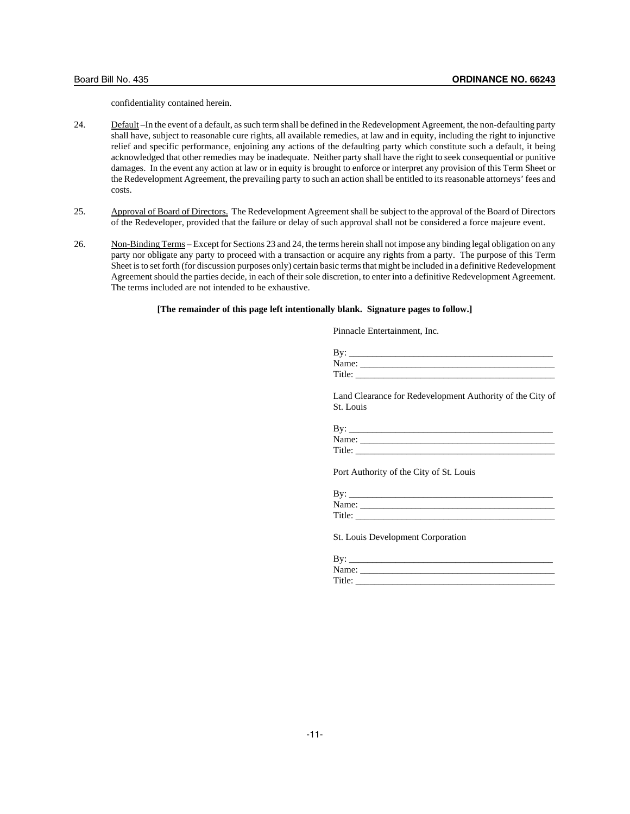confidentiality contained herein.

- 24. Default –In the event of a default, as such term shall be defined in the Redevelopment Agreement, the non-defaulting party shall have, subject to reasonable cure rights, all available remedies, at law and in equity, including the right to injunctive relief and specific performance, enjoining any actions of the defaulting party which constitute such a default, it being acknowledged that other remedies may be inadequate. Neither party shall have the right to seek consequential or punitive damages. In the event any action at law or in equity is brought to enforce or interpret any provision of this Term Sheet or the Redevelopment Agreement, the prevailing party to such an action shall be entitled to its reasonable attorneys' fees and costs.
- 25. Approval of Board of Directors. The Redevelopment Agreement shall be subject to the approval of the Board of Directors of the Redeveloper, provided that the failure or delay of such approval shall not be considered a force majeure event.
- 26. Non-Binding Terms Except for Sections 23 and 24, the terms herein shall not impose any binding legal obligation on any party nor obligate any party to proceed with a transaction or acquire any rights from a party. The purpose of this Term Sheet is to set forth (for discussion purposes only) certain basic terms that might be included in a definitive Redevelopment Agreement should the parties decide, in each of their sole discretion, to enter into a definitive Redevelopment Agreement. The terms included are not intended to be exhaustive.

#### **[The remainder of this page left intentionally blank. Signature pages to follow.]**

Pinnacle Entertainment, Inc.

| Bv:    |  |  |  |
|--------|--|--|--|
| Name:  |  |  |  |
| Title: |  |  |  |

Land Clearance for Redevelopment Authority of the City of St. Louis

| Bv:    |  |
|--------|--|
| Name:  |  |
| Title: |  |

Port Authority of the City of St. Louis

| Bv:    |  |
|--------|--|
| Name:  |  |
| Title: |  |

St. Louis Development Corporation

| - BV   |  |
|--------|--|
| Name:  |  |
| Title: |  |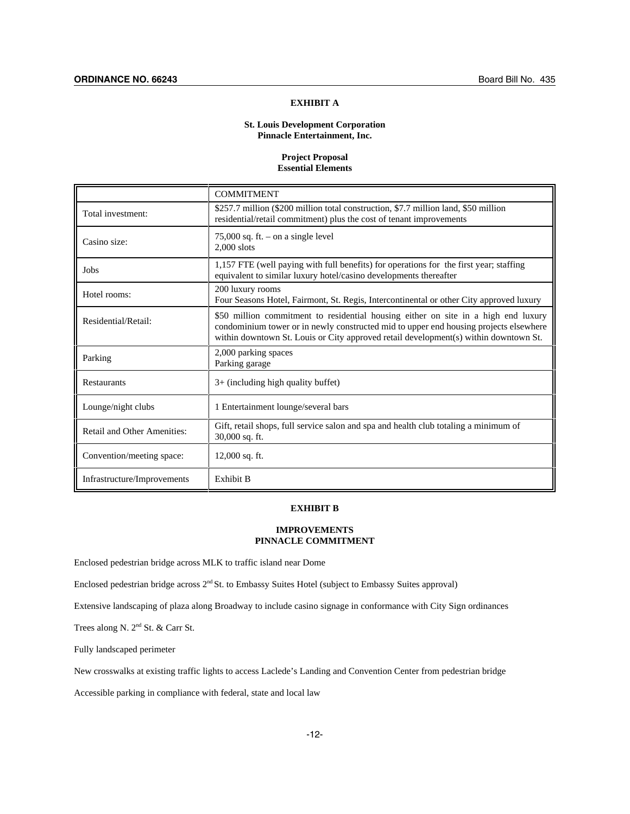### **EXHIBIT A**

## **St. Louis Development Corporation Pinnacle Entertainment, Inc.**

### **Project Proposal Essential Elements**

|                             | <b>COMMITMENT</b>                                                                                                                                                                                                                                                   |
|-----------------------------|---------------------------------------------------------------------------------------------------------------------------------------------------------------------------------------------------------------------------------------------------------------------|
| Total investment:           | \$257.7 million (\$200 million total construction, \$7.7 million land, \$50 million<br>residential/retail commitment) plus the cost of tenant improvements                                                                                                          |
| Casino size:                | 75,000 sq. ft. $-$ on a single level<br>$2.000$ slots                                                                                                                                                                                                               |
| Jobs                        | 1,157 FTE (well paying with full benefits) for operations for the first year; staffing<br>equivalent to similar luxury hotel/casino developments thereafter                                                                                                         |
| Hotel rooms:                | 200 luxury rooms<br>Four Seasons Hotel, Fairmont, St. Regis, Intercontinental or other City approved luxury                                                                                                                                                         |
| Residential/Retail:         | \$50 million commitment to residential housing either on site in a high end luxury<br>condominium tower or in newly constructed mid to upper end housing projects elsewhere<br>within downtown St. Louis or City approved retail development(s) within downtown St. |
| Parking                     | 2,000 parking spaces<br>Parking garage                                                                                                                                                                                                                              |
| <b>Restaurants</b>          | $3+$ (including high quality buffet)                                                                                                                                                                                                                                |
| Lounge/night clubs          | 1 Entertainment lounge/several bars                                                                                                                                                                                                                                 |
| Retail and Other Amenities: | Gift, retail shops, full service salon and spa and health club totaling a minimum of<br>30,000 sq. ft.                                                                                                                                                              |
| Convention/meeting space:   | $12,000$ sq. ft.                                                                                                                                                                                                                                                    |
| Infrastructure/Improvements | Exhibit B                                                                                                                                                                                                                                                           |

# **EXHIBIT B**

# **IMPROVEMENTS PINNACLE COMMITMENT**

Enclosed pedestrian bridge across MLK to traffic island near Dome

Enclosed pedestrian bridge across 2nd St. to Embassy Suites Hotel (subject to Embassy Suites approval)

Extensive landscaping of plaza along Broadway to include casino signage in conformance with City Sign ordinances

Trees along N. 2nd St. & Carr St.

Fully landscaped perimeter

New crosswalks at existing traffic lights to access Laclede's Landing and Convention Center from pedestrian bridge

Accessible parking in compliance with federal, state and local law